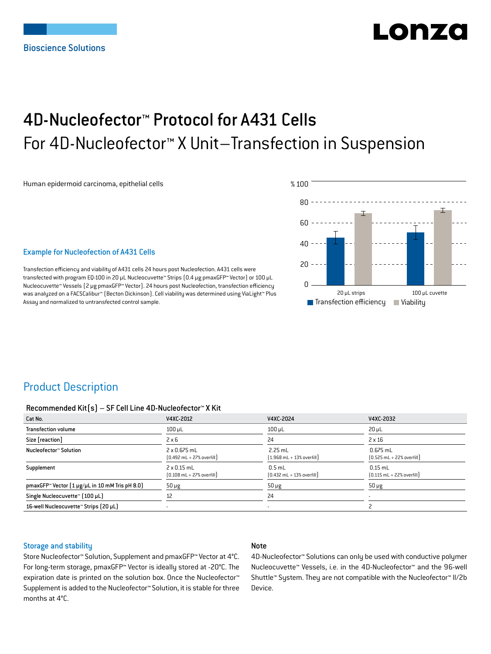# LONZ

## 4D-Nucleofector™ Protocol for A431 Cells For 4D-Nucleofector™ X Unit–Transfection in Suspension

Human epidermoid carcinoma, epithelial cells



#### Example for Nucleofection of A431 Cells

Transfection efficiency and viability of A431 cells 24 hours post Nucleofection. A431 cells were transfected with program EQ-100 in 20 µL Nucleocuvette™ Strips (0.4 μg pmaxGFP™ Vector) or 100 µL Nucleocuvette™ Vessels (2 μg pmaxGFP™ Vector). 24 hours post Nucleofection, transfection efficiency was analyzed on a FACSCalibur™ (Becton Dickinson). Cell viability was determined using ViaLight™ Plus Assay and normalized to untransfected control sample.

## Product Description

#### Recommended Kit(s) – SF Cell Line 4D-Nucleofector™ X Kit

| Cat No.                                                    | V4XC-2012                                                           | V4XC-2024                                                 | V4XC-2032                                                  |
|------------------------------------------------------------|---------------------------------------------------------------------|-----------------------------------------------------------|------------------------------------------------------------|
| <b>Transfection volume</b>                                 | $100$ $\mu$ L                                                       | $100$ $\mu$ L                                             | $20 \mu L$                                                 |
| Size [reaction]                                            | $2 \times 6$                                                        | 24                                                        | $2 \times 16$                                              |
| Nucleofector™ Solution                                     | $2 \times 0.675$ mL<br>$[0.492 \text{ mL} + 27\% \text{ overfill}]$ | $2.25$ mL<br>$[1.968 \text{ mL} + 13\% \text{ overfill}]$ | $0.675$ mL<br>$[0.525 \text{ mL} + 22\% \text{ overfill}]$ |
| Supplement                                                 | $2 \times 0.15$ mL<br>$[0.108 \text{ mL} + 27\% \text{ overfill}]$  | $0.5$ mL<br>$[0.432 \text{ mL} + 13\% \text{ overfill}]$  | $0.15$ mL<br>$[0.115 \text{ mL} + 22\% \text{ overfill}]$  |
| pmaxGFP <sup>™</sup> Vector (1 µg/µL in 10 mM Tris pH 8.0) | $50 \mu g$                                                          | $50 \mu g$                                                | $50 \mu g$                                                 |
| Single Nucleocuvette™ [100 µL]                             | 12                                                                  | 24                                                        |                                                            |
| 16-well Nucleocuvette™ Strips (20 µL)                      |                                                                     | $\overline{\phantom{a}}$                                  |                                                            |

#### Storage and stability

#### Note

Store Nucleofector™ Solution, Supplement and pmaxGFP™ Vector at 4°C. For long-term storage, pmaxGFP™ Vector is ideally stored at -20°C. The expiration date is printed on the solution box. Once the Nucleofector™ Supplement is added to the Nucleofector™ Solution, it is stable for three months at 4°C.

4D-Nucleofector™ Solutions can only be used with conductive polymer Nucleocuvette™ Vessels, i.e. in the 4D-Nucleofector™ and the 96-well Shuttle™ System. They are not compatible with the Nucleofector™ II/2b Device.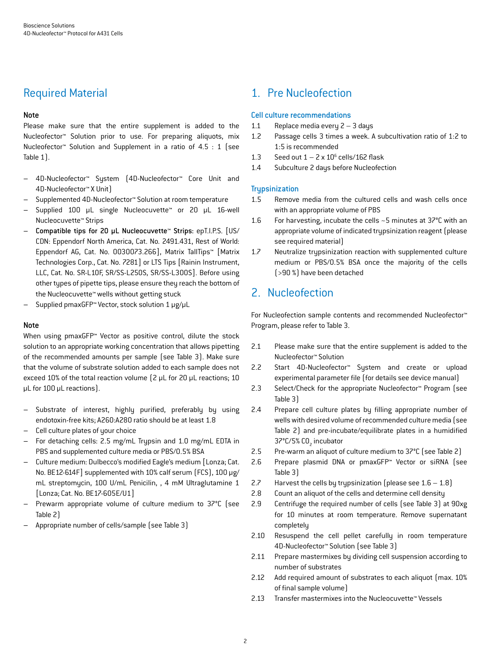## Required Material

#### Note

Please make sure that the entire supplement is added to the Nucleofector™ Solution prior to use. For preparing aliquots, mix Nucleofector™ Solution and Supplement in a ratio of 4.5 : 1 (see Table 1).

- 4D-Nucleofector™ System (4D-Nucleofector™ Core Unit and 4D-Nucleofector™ X Unit)
- Supplemented 4D-Nucleofector™ Solution at room temperature
- Supplied 100 µL single Nucleocuvette™ or 20 µL 16-well Nucleocuvette™ Strips
- Compatible tips for 20 µL Nucleocuvette™ Strips: epT.I.P.S. [US/ CDN: Eppendorf North America, Cat. No. 2491.431, Rest of World: Eppendorf AG, Cat. No. 0030073.266], Matrix TallTips™ [Matrix Technologies Corp., Cat. No. 7281] or LTS Tips [Rainin Instrument, LLC, Cat. No. SR-L10F, SR/SS-L250S, SR/SS-L300S]. Before using other types of pipette tips, please ensure they reach the bottom of the Nucleocuvette™ wells without getting stuck
- Supplied pmaxGFP™ Vector, stock solution 1 μg/µL

#### Note

When using pmaxGFP™ Vector as positive control, dilute the stock solution to an appropriate working concentration that allows pipetting of the recommended amounts per sample (see Table 3). Make sure that the volume of substrate solution added to each sample does not exceed 10% of the total reaction volume (2 µL for 20 µL reactions; 10 µL for 100 µL reactions).

- Substrate of interest, highly purified, preferably by using endotoxin-free kits; A260:A280 ratio should be at least 1.8
- Cell culture plates of your choice
- For detaching cells: 2.5 mg/mL Trypsin and 1.0 mg/mL EDTA in PBS and supplemented culture media or PBS/0.5% BSA
- Culture medium: Dulbecco's modified Eagle's medium [Lonza; Cat. No. BE12-614F] supplemented with 10% calf serum (FCS), 100 μg/ mL streptomycin, 100 U/mL Penicilin, , 4 mM Ultraglutamine 1 [Lonza; Cat. No. BE17-605E/U1]
- Prewarm appropriate volume of culture medium to 37°C (see Table 2)
- Appropriate number of cells/sample (see Table 3)

## 1. Pre Nucleofection

#### Cell culture recommendations

- 1.1 Replace media every 2 3 days
- 1.2 Passage cells 3 times a week. A subcultivation ratio of 1:2 to 1:5 is recommended
- 1.3 Seed out  $1 2 \times 10^6$  cells/162 flask
- 1.4 Subculture 2 days before Nucleofection

#### **Trypsinization**

- 1.5 Remove media from the cultured cells and wash cells once with an appropriate volume of PBS
- 1.6 For harvesting, incubate the cells ~5 minutes at 37°C with an appropriate volume of indicated trypsinization reagent (please see required material)
- 1.7 Neutralize trypsinization reaction with supplemented culture medium or PBS/0.5% BSA once the majority of the cells (>90 %) have been detached

## 2. Nucleofection

For Nucleofection sample contents and recommended Nucleofector™ Program, please refer to Table 3.

- 2.1 Please make sure that the entire supplement is added to the Nucleofector™ Solution
- 2.2 Start 4D-Nucleofector™ System and create or upload experimental parameter file (for details see device manual)
- 2.3 Select/Check for the appropriate Nucleofector™ Program (see Table 3)
- 2.4 Prepare cell culture plates by filling appropriate number of wells with desired volume of recommended culture media (see Table 2) and pre-incubate/equilibrate plates in a humidified 37°C/5% CO<sub>2</sub> incubator
- 2.5 Pre-warm an aliquot of culture medium to 37°C (see Table 2)
- 2.6 Prepare plasmid DNA or pmaxGFP™ Vector or siRNA (see Table 3)
- 2.7 Harvest the cells by trypsinization (please see  $1.6 1.8$ )
- 2.8 Count an aliquot of the cells and determine cell density
- 2.9 Centrifuge the required number of cells (see Table 3) at 90xg for 10 minutes at room temperature. Remove supernatant completely
- 2.10 Resuspend the cell pellet carefully in room temperature 4D-Nucleofector™ Solution (see Table 3)
- 2.11 Prepare mastermixes by dividing cell suspension according to number of substrates
- 2.12 Add required amount of substrates to each aliquot (max. 10%) of final sample volume)
- 2.13 Transfer mastermixes into the Nucleocuvette™ Vessels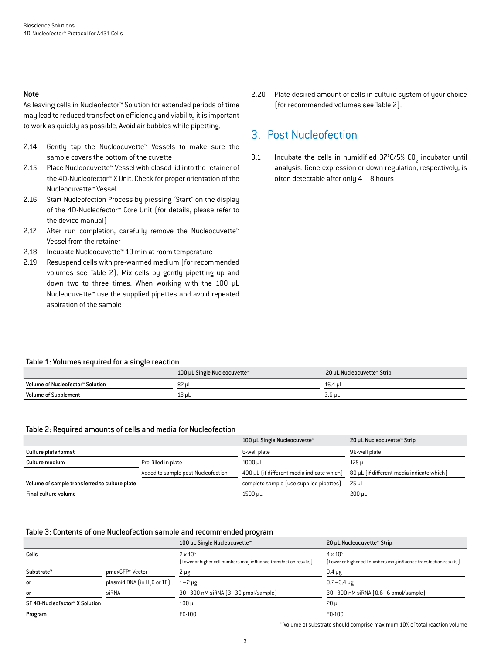#### Note

As leaving cells in Nucleofector™ Solution for extended periods of time may lead to reduced transfection efficiency and viability it is important to work as quickly as possible. Avoid air bubbles while pipetting.

- 2.14 Gently tap the Nucleocuvette™ Vessels to make sure the sample covers the bottom of the cuvette
- 2.15 Place Nucleocuvette™ Vessel with closed lid into the retainer of the 4D-Nucleofector™ X Unit. Check for proper orientation of the Nucleocuvette™ Vessel
- 2.16 Start Nucleofection Process by pressing "Start" on the display of the 4D-Nucleofector™ Core Unit (for details, please refer to the device manual)
- 2.17 After run completion, carefully remove the Nucleocuvette™ Vessel from the retainer
- 2.18 Incubate Nucleocuvette™ 10 min at room temperature
- 2.19 Resuspend cells with pre-warmed medium (for recommended volumes see Table 2). Mix cells by gently pipetting up and down two to three times. When working with the 100 µL Nucleocuvette™ use the supplied pipettes and avoid repeated aspiration of the sample

2.20 Plate desired amount of cells in culture system of your choice (for recommended volumes see Table 2).

## 3. Post Nucleofection

3.1 Incubate the cells in humidified  $37^{\circ}$ C/5% CO<sub>2</sub> incubator until analysis. Gene expression or down regulation, respectively, is often detectable after only  $4 - 8$  hours

#### Table 1: Volumes required for a single reaction

|                                  | 100 µL Single Nucleocuvette™ | 20 µL Nucleocuvette™ Strip |
|----------------------------------|------------------------------|----------------------------|
| Volume of Nucleofector™ Solution | 82 µL                        | 16.4 uL                    |
| <b>Volume of Supplement</b>      | 18 µL                        | $3.6$ uL                   |

#### Table 2: Required amounts of cells and media for Nucleofection

|                                               |                                    | 100 µL Single Nucleocuvette™               | 20 µL Nucleocuvette™ Strip                |
|-----------------------------------------------|------------------------------------|--------------------------------------------|-------------------------------------------|
| Culture plate format                          |                                    | 6-well plate                               | 96-well plate                             |
| Culture medium                                | Pre-filled in plate                | $1000 \mu L$                               | 175 µL                                    |
|                                               | Added to sample post Nucleofection | 400 µL (if different media indicate which) | 80 µL (if different media indicate which) |
| Volume of sample transferred to culture plate |                                    | complete sample (use supplied pipettes)    | $25 \mu L$                                |
| Final culture volume                          |                                    | 1500 µL                                    | 200 uL                                    |

#### Table 3: Contents of one Nucleofection sample and recommended program

|                                |                                         | 100 µL Single Nucleocuvette™                                                         | 20 µL Nucleocuvette™ Strip                                                             |
|--------------------------------|-----------------------------------------|--------------------------------------------------------------------------------------|----------------------------------------------------------------------------------------|
| Cells                          |                                         | $2 \times 10^6$<br>[Lower or higher cell numbers may influence transfection results] | $4 \times 10^{5}$<br>[Lower or higher cell numbers may influence transfection results] |
| Substrate*                     | pmaxGFP™ Vector                         | $2 \mu g$                                                                            | $0.4 \mu g$                                                                            |
| or                             | plasmid DNA (in H <sub>2</sub> O or TE) | $1 - 2 \mu g$                                                                        | $0.2 - 0.4 \,\mu g$                                                                    |
| or                             | siRNA                                   | 30-300 nM siRNA (3-30 pmol/sample)                                                   | 30-300 nM siRNA (0.6-6 pmol/sample)                                                    |
| SF 4D-Nucleofector™ X Solution |                                         | $100 \mu L$                                                                          | $20 \mu L$                                                                             |
| Program                        |                                         | E0-100                                                                               | E0-100                                                                                 |

\* Volume of substrate should comprise maximum 10% of total reaction volume